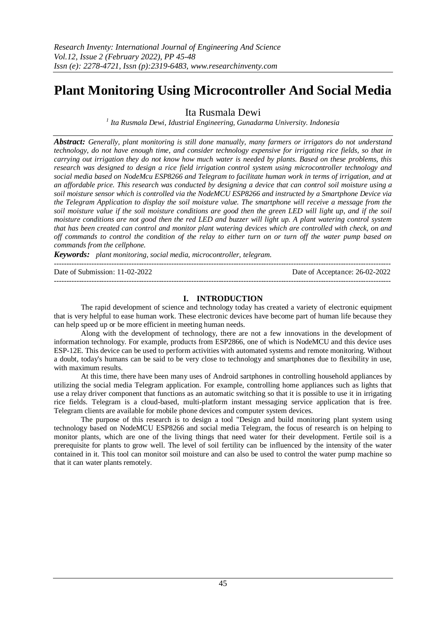# **Plant Monitoring Using Microcontroller And Social Media**

Ita Rusmala Dewi

*1 Ita Rusmala Dewi, Idustrial Engineering, Gunadarma University. Indonesia*

*Abstract: Generally, plant monitoring is still done manually, many farmers or irrigators do not understand technology, do not have enough time, and consider technology expensive for irrigating rice fields, so that in carrying out irrigation they do not know how much water is needed by plants. Based on these problems, this research was designed to design a rice field irrigation control system using microcontroller technology and social media based on NodeMcu ESP8266 and Telegram to facilitate human work in terms of irrigation, and at an affordable price. This research was conducted by designing a device that can control soil moisture using a soil moisture sensor which is controlled via the NodeMCU ESP8266 and instructed by a Smartphone Device via the Telegram Application to display the soil moisture value. The smartphone will receive a message from the soil moisture value if the soil moisture conditions are good then the green LED will light up, and if the soil moisture conditions are not good then the red LED and buzzer will light up. A plant watering control system that has been created can control and monitor plant watering devices which are controlled with check, on and off commands to control the condition of the relay to either turn on or turn off the water pump based on commands from the cellphone.*

*Keywords: plant monitoring, social media, microcontroller, telegram.*

| Date of Submission: $11-02-2022$ | Date of Acceptance: 26-02-2022 |
|----------------------------------|--------------------------------|
|                                  |                                |

# **I. INTRODUCTION**

The rapid development of science and technology today has created a variety of electronic equipment that is very helpful to ease human work. These electronic devices have become part of human life because they can help speed up or be more efficient in meeting human needs.

Along with the development of technology, there are not a few innovations in the development of information technology. For example, products from ESP2866, one of which is NodeMCU and this device uses ESP-12E. This device can be used to perform activities with automated systems and remote monitoring. Without a doubt, today's humans can be said to be very close to technology and smartphones due to flexibility in use, with maximum results.

At this time, there have been many uses of Android sartphones in controlling household appliances by utilizing the social media Telegram application. For example, controlling home appliances such as lights that use a relay driver component that functions as an automatic switching so that it is possible to use it in irrigating rice fields. Telegram is a cloud-based, multi-platform instant messaging service application that is free. Telegram clients are available for mobile phone devices and computer system devices.

The purpose of this research is to design a tool "Design and build monitoring plant system using technology based on NodeMCU ESP8266 and social media Telegram, the focus of research is on helping to monitor plants, which are one of the living things that need water for their development. Fertile soil is a prerequisite for plants to grow well. The level of soil fertility can be influenced by the intensity of the water contained in it. This tool can monitor soil moisture and can also be used to control the water pump machine so that it can water plants remotely.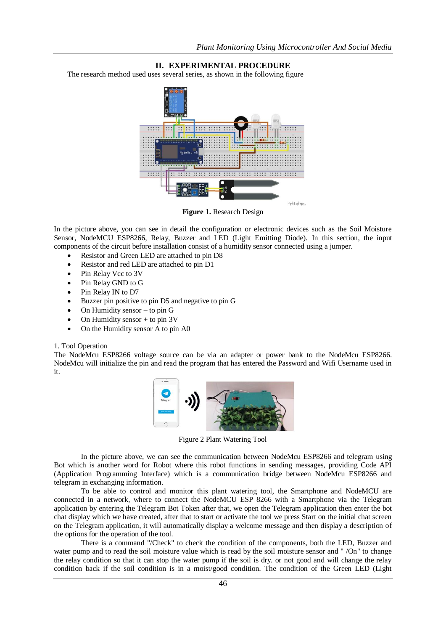# **II. EXPERIMENTAL PROCEDURE**

The research method used uses several series, as shown in the following figure



**Figure 1.** Research Design

In the picture above, you can see in detail the configuration or electronic devices such as the Soil Moisture Sensor, NodeMCU ESP8266, Relay, Buzzer and LED (Light Emitting Diode). In this section, the input components of the circuit before installation consist of a humidity sensor connected using a jumper.

- Resistor and Green LED are attached to pin D8
- Resistor and red LED are attached to pin D1
- Pin Relay Vcc to 3V
- Pin Relay GND to G
- Pin Relay IN to D7
- Buzzer pin positive to pin D5 and negative to pin G
- $\bullet$  On Humidity sensor to pin G
- On Humidity sensor + to pin 3V
- On the Humidity sensor A to pin A0

#### 1. Tool Operation

The NodeMcu ESP8266 voltage source can be via an adapter or power bank to the NodeMcu ESP8266. NodeMcu will initialize the pin and read the program that has entered the Password and Wifi Username used in it.



Figure 2 Plant Watering Tool

In the picture above, we can see the communication between NodeMcu ESP8266 and telegram using Bot which is another word for Robot where this robot functions in sending messages, providing Code API (Application Programming Interface) which is a communication bridge between NodeMcu ESP8266 and telegram in exchanging information.

To be able to control and monitor this plant watering tool, the Smartphone and NodeMCU are connected in a network, where to connect the NodeMCU ESP 8266 with a Smartphone via the Telegram application by entering the Telegram Bot Token after that, we open the Telegram application then enter the bot chat display which we have created, after that to start or activate the tool we press Start on the initial chat screen on the Telegram application, it will automatically display a welcome message and then display a description of the options for the operation of the tool.

There is a command "/Check" to check the condition of the components, both the LED, Buzzer and water pump and to read the soil moisture value which is read by the soil moisture sensor and " /On" to change the relay condition so that it can stop the water pump if the soil is dry. or not good and will change the relay condition back if the soil condition is in a moist/good condition. The condition of the Green LED (Light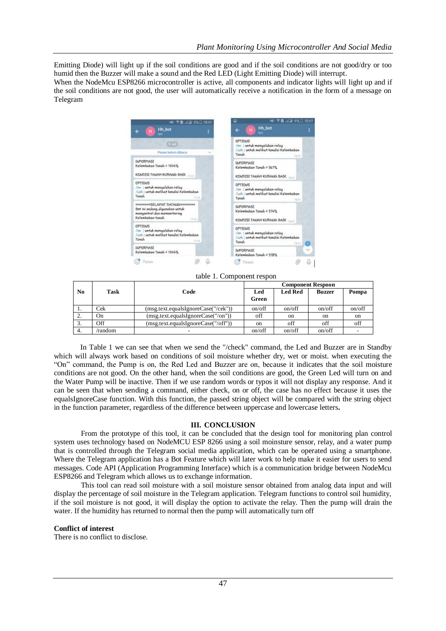Emitting Diode) will light up if the soil conditions are good and if the soil conditions are not good/dry or too humid then the Buzzer will make a sound and the Red LED (Light Emitting Diode) will interrupt.

When the NodeMcu ESP8266 microcontroller is active, all components and indicator lights will light up and if the soil conditions are not good, the user will automatically receive a notification in the form of a message on Telegram



table 1. Component respon

|                |             |                                     | <b>Component Respoon</b> |                |               |               |
|----------------|-------------|-------------------------------------|--------------------------|----------------|---------------|---------------|
| N <sub>0</sub> | <b>Task</b> | Code                                | Led<br>Green             | <b>Led Red</b> | <b>Buzzer</b> | Pompa         |
| .,             | Cek         | (msg.text.equalsIgnoreCase("/cek")) | on/off                   | on/off         | on/off        | on/off        |
|                | On          | (msg.text.equalsIgnoreCase("/on"))  | off                      | <sub>on</sub>  | <sub>on</sub> | <sub>on</sub> |
|                | Off         | (msg.text.equalsIgnoreCase("/off")) | <sub>on</sub>            | off            | off           | off           |
| -4.            | /random     |                                     | on/off                   | on/off         | on/off        |               |

In Table 1 we can see that when we send the "/check" command, the Led and Buzzer are in Standby which will always work based on conditions of soil moisture whether dry, wet or moist. when executing the "On" command, the Pump is on, the Red Led and Buzzer are on, because it indicates that the soil moisture conditions are not good. On the other hand, when the soil conditions are good, the Green Led will turn on and the Water Pump will be inactive. Then if we use random words or typos it will not display any response. And it can be seen that when sending a command, either check, on or off, the case has no effect because it uses the equalsIgnoreCase function. With this function, the passed string object will be compared with the string object in the function parameter, regardless of the difference between uppercase and lowercase letters**.**

## **III. CONCLUSION**

From the prototype of this tool, it can be concluded that the design tool for monitoring plan control system uses technology based on NodeMCU ESP 8266 using a soil moinsture sensor, relay, and a water pump that is controlled through the Telegram social media application, which can be operated using a smartphone. Where the Telegram application has a Bot Feature which will later work to help make it easier for users to send messages. Code API (Application Programming Interface) which is a communication bridge between NodeMcu ESP8266 and Telegram which allows us to exchange information.

This tool can read soil moisture with a soil moisture sensor obtained from analog data input and will display the percentage of soil moisture in the Telegram application. Telegram functions to control soil humidity, if the soil moisture is not good, it will display the option to activate the relay. Then the pump will drain the water. If the humidity has returned to normal then the pump will automatically turn off

### **Conflict of interest**

There is no conflict to disclose.